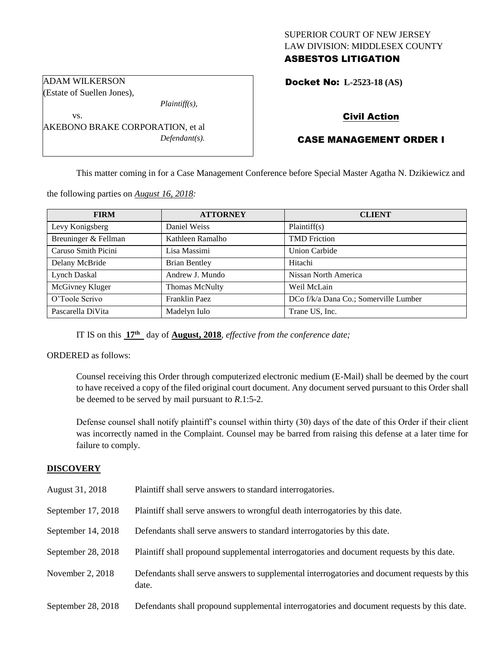## SUPERIOR COURT OF NEW JERSEY LAW DIVISION: MIDDLESEX COUNTY ASBESTOS LITIGATION

Docket No: **L-2523-18 (AS)** 

(Estate of Suellen Jones),

ADAM WILKERSON

vs.

*Plaintiff(s),*

AKEBONO BRAKE CORPORATION, et al *Defendant(s).*

## Civil Action

# CASE MANAGEMENT ORDER I

This matter coming in for a Case Management Conference before Special Master Agatha N. Dzikiewicz and

the following parties on *August 16, 2018:*

| <b>FIRM</b>          | <b>ATTORNEY</b>       | <b>CLIENT</b>                         |
|----------------------|-----------------------|---------------------------------------|
| Levy Konigsberg      | Daniel Weiss          | Plaintiff(s)                          |
| Breuninger & Fellman | Kathleen Ramalho      | <b>TMD</b> Friction                   |
| Caruso Smith Picini  | Lisa Massimi          | Union Carbide                         |
| Delany McBride       | <b>Brian Bentley</b>  | Hitachi                               |
| Lynch Daskal         | Andrew J. Mundo       | Nissan North America                  |
| McGivney Kluger      | <b>Thomas McNulty</b> | Weil McLain                           |
| O'Toole Scrivo       | Franklin Paez         | DCo f/k/a Dana Co.; Somerville Lumber |
| Pascarella DiVita    | Madelyn Iulo          | Trane US, Inc.                        |

IT IS on this **17th** day of **August, 2018**, *effective from the conference date;*

ORDERED as follows:

Counsel receiving this Order through computerized electronic medium (E-Mail) shall be deemed by the court to have received a copy of the filed original court document. Any document served pursuant to this Order shall be deemed to be served by mail pursuant to *R*.1:5-2.

Defense counsel shall notify plaintiff's counsel within thirty (30) days of the date of this Order if their client was incorrectly named in the Complaint. Counsel may be barred from raising this defense at a later time for failure to comply.

## **DISCOVERY**

| August 31, 2018    | Plaintiff shall serve answers to standard interrogatories.                                            |
|--------------------|-------------------------------------------------------------------------------------------------------|
| September 17, 2018 | Plaintiff shall serve answers to wrongful death interrogatories by this date.                         |
| September 14, 2018 | Defendants shall serve answers to standard interrogatories by this date.                              |
| September 28, 2018 | Plaintiff shall propound supplemental interrogatories and document requests by this date.             |
| November 2, 2018   | Defendants shall serve answers to supplemental interrogatories and document requests by this<br>date. |
| September 28, 2018 | Defendants shall propound supplemental interrogatories and document requests by this date.            |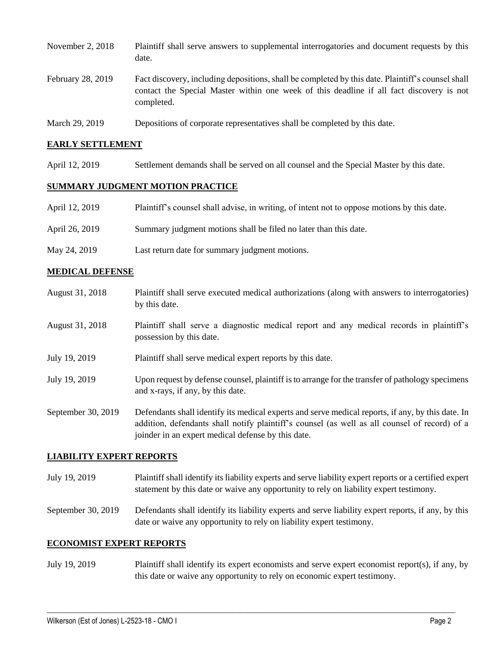| November 2, $2018$ | Plaintiff shall serve answers to supplemental interrogatories and document requests by this<br>date.                                                                                                        |
|--------------------|-------------------------------------------------------------------------------------------------------------------------------------------------------------------------------------------------------------|
| February 28, 2019  | Fact discovery, including depositions, shall be completed by this date. Plaintiff's counsel shall<br>contact the Special Master within one week of this deadline if all fact discovery is not<br>completed. |
|                    |                                                                                                                                                                                                             |

March 29, 2019 Depositions of corporate representatives shall be completed by this date.

#### **EARLY SETTLEMENT**

April 12, 2019 Settlement demands shall be served on all counsel and the Special Master by this date.

## **SUMMARY JUDGMENT MOTION PRACTICE**

| April 12, 2019 | Plaintiff's counsel shall advise, in writing, of intent not to oppose motions by this date. |
|----------------|---------------------------------------------------------------------------------------------|
| April 26, 2019 | Summary judgment motions shall be filed no later than this date.                            |
| May 24, 2019   | Last return date for summary judgment motions.                                              |

### **MEDICAL DEFENSE**

August 31, 2018 Plaintiff shall serve executed medical authorizations (along with answers to interrogatories) by this date. August 31, 2018 Plaintiff shall serve a diagnostic medical report and any medical records in plaintiff's possession by this date. July 19, 2019 Plaintiff shall serve medical expert reports by this date. July 19, 2019 Upon request by defense counsel, plaintiff is to arrange for the transfer of pathology specimens and x-rays, if any, by this date. September 30, 2019 Defendants shall identify its medical experts and serve medical reports, if any, by this date. In addition, defendants shall notify plaintiff's counsel (as well as all counsel of record) of a joinder in an expert medical defense by this date.

### **LIABILITY EXPERT REPORTS**

- July 19, 2019 Plaintiff shall identify its liability experts and serve liability expert reports or a certified expert statement by this date or waive any opportunity to rely on liability expert testimony.
- September 30, 2019 Defendants shall identify its liability experts and serve liability expert reports, if any, by this date or waive any opportunity to rely on liability expert testimony.

#### **ECONOMIST EXPERT REPORTS**

July 19, 2019 Plaintiff shall identify its expert economists and serve expert economist report(s), if any, by this date or waive any opportunity to rely on economic expert testimony.

 $\_$  ,  $\_$  ,  $\_$  ,  $\_$  ,  $\_$  ,  $\_$  ,  $\_$  ,  $\_$  ,  $\_$  ,  $\_$  ,  $\_$  ,  $\_$  ,  $\_$  ,  $\_$  ,  $\_$  ,  $\_$  ,  $\_$  ,  $\_$  ,  $\_$  ,  $\_$  ,  $\_$  ,  $\_$  ,  $\_$  ,  $\_$  ,  $\_$  ,  $\_$  ,  $\_$  ,  $\_$  ,  $\_$  ,  $\_$  ,  $\_$  ,  $\_$  ,  $\_$  ,  $\_$  ,  $\_$  ,  $\_$  ,  $\_$  ,